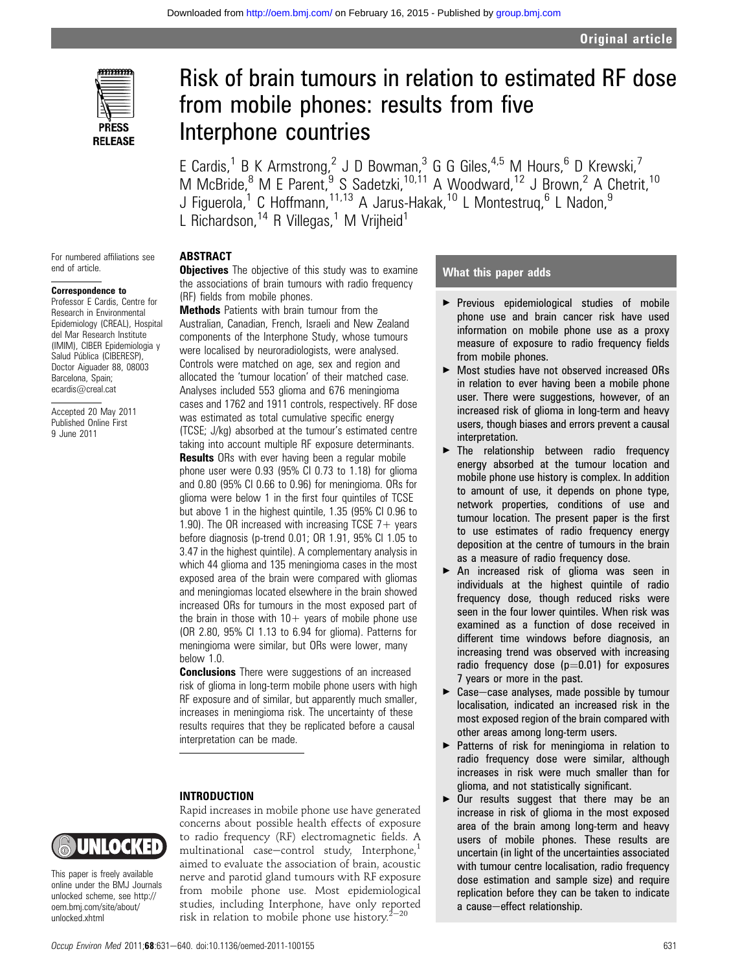

For numbered affiliations see

end of article.

Correspondence to Professor E Cardis, Centre for Research in Environmental Epidemiology (CREAL), Hospital del Mar Research Institute (IMIM), CIBER Epidemiologia y Salud Pública (CIBERESP), Doctor Aiguader 88, 08003 Barcelona, Spain; ecardis@creal.cat

Accepted 20 May 2011 Published Online First 9 June 2011

# Risk of brain tumours in relation to estimated RF dose from mobile phones: results from five Interphone countries

E Cardis,<sup>1</sup> B K Armstrong,<sup>2</sup> J D Bowman,<sup>3</sup> G G Giles,<sup>4,5</sup> M Hours,<sup>6</sup> D Krewski,<sup>7</sup> M McBride,<sup>8</sup> M E Parent, <sup>9</sup> S Sadetzki, <sup>10,11</sup> A Woodward, <sup>12</sup> J Brown, <sup>2</sup> A Chetrit, <sup>10</sup> J Figuerola,<sup>1</sup> C Hoffmann,<sup>11,13</sup> A Jarus-Hakak,<sup>10</sup> L Montestruq,<sup>6</sup> L Nadon,<sup>9</sup> L Richardson,<sup>14</sup> R Villegas,<sup>1</sup> M Vrijheid<sup>1</sup>

# ABSTRACT

**Objectives** The objective of this study was to examine the associations of brain tumours with radio frequency (RF) fields from mobile phones.

Methods Patients with brain tumour from the Australian, Canadian, French, Israeli and New Zealand components of the Interphone Study, whose tumours were localised by neuroradiologists, were analysed. Controls were matched on age, sex and region and allocated the 'tumour location' of their matched case. Analyses included 553 glioma and 676 meningioma cases and 1762 and 1911 controls, respectively. RF dose was estimated as total cumulative specific energy (TCSE; J/kg) absorbed at the tumour's estimated centre taking into account multiple RF exposure determinants. **Results** ORs with ever having been a regular mobile phone user were 0.93 (95% CI 0.73 to 1.18) for glioma and 0.80 (95% CI 0.66 to 0.96) for meningioma. ORs for glioma were below 1 in the first four quintiles of TCSE but above 1 in the highest quintile, 1.35 (95% CI 0.96 to 1.90). The OR increased with increasing TCSE  $7+$  years before diagnosis (p-trend 0.01; OR 1.91, 95% CI 1.05 to 3.47 in the highest quintile). A complementary analysis in which 44 glioma and 135 meningioma cases in the most exposed area of the brain were compared with gliomas and meningiomas located elsewhere in the brain showed increased ORs for tumours in the most exposed part of the brain in those with  $10+$  years of mobile phone use (OR 2.80, 95% CI 1.13 to 6.94 for glioma). Patterns for meningioma were similar, but ORs were lower, many below 1.0.

**Conclusions** There were suggestions of an increased risk of glioma in long-term mobile phone users with high RF exposure and of similar, but apparently much smaller, increases in meningioma risk. The uncertainty of these results requires that they be replicated before a causal interpretation can be made.

#### INTRODUCTION



This paper is freely available online under the BMJ Journals unlocked scheme, see http:// oem.bmj.com/site/about/ unlocked.xhtml

Rapid increases in mobile phone use have generated concerns about possible health effects of exposure to radio frequency (RF) electromagnetic fields. A multinational case-control study, Interphone, $<sup>1</sup>$ </sup> aimed to evaluate the association of brain, acoustic nerve and parotid gland tumours with RF exposure from mobile phone use. Most epidemiological studies, including Interphone, have only reported risk in relation to mobile phone use history. $2^{-20}$ 

# What this paper adds

- **Previous epidemiological studies of mobile** phone use and brain cancer risk have used information on mobile phone use as a proxy measure of exposure to radio frequency fields from mobile phones.
- ▶ Most studies have not observed increased ORs in relation to ever having been a mobile phone user. There were suggestions, however, of an increased risk of glioma in long-term and heavy users, though biases and errors prevent a causal interpretation.
- $\blacktriangleright$  The relationship between radio frequency energy absorbed at the tumour location and mobile phone use history is complex. In addition to amount of use, it depends on phone type, network properties, conditions of use and tumour location. The present paper is the first to use estimates of radio frequency energy deposition at the centre of tumours in the brain as a measure of radio frequency dose.
- ▶ An increased risk of glioma was seen in individuals at the highest quintile of radio frequency dose, though reduced risks were seen in the four lower quintiles. When risk was examined as a function of dose received in different time windows before diagnosis, an increasing trend was observed with increasing radio frequency dose  $(p=0.01)$  for exposures 7 years or more in the past.
- $\blacktriangleright$  Case-case analyses, made possible by tumour localisation, indicated an increased risk in the most exposed region of the brain compared with other areas among long-term users.
- < Patterns of risk for meningioma in relation to radio frequency dose were similar, although increases in risk were much smaller than for glioma, and not statistically significant.
- $\triangleright$  Our results suggest that there may be an increase in risk of glioma in the most exposed area of the brain among long-term and heavy users of mobile phones. These results are uncertain (in light of the uncertainties associated with tumour centre localisation, radio frequency dose estimation and sample size) and require replication before they can be taken to indicate a cause-effect relationship.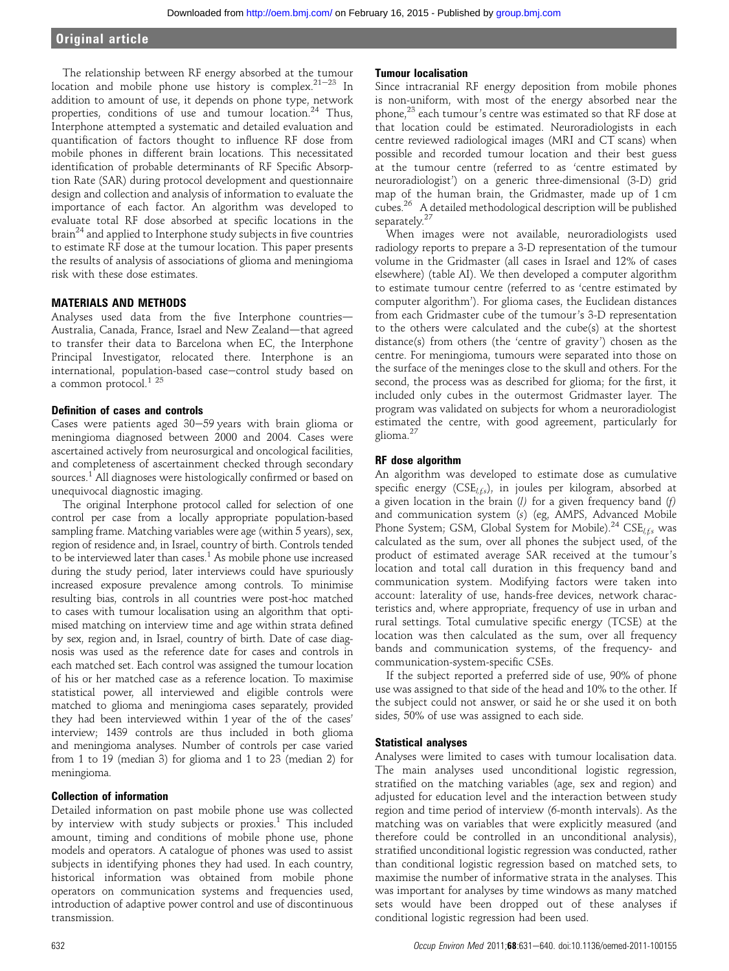The relationship between RF energy absorbed at the tumour location and mobile phone use history is complex. $21-23$  In addition to amount of use, it depends on phone type, network properties, conditions of use and tumour location.<sup>24</sup> Thus, Interphone attempted a systematic and detailed evaluation and quantification of factors thought to influence RF dose from mobile phones in different brain locations. This necessitated identification of probable determinants of RF Specific Absorption Rate (SAR) during protocol development and questionnaire design and collection and analysis of information to evaluate the importance of each factor. An algorithm was developed to evaluate total RF dose absorbed at specific locations in the  $brain<sup>24</sup>$  and applied to Interphone study subjects in five countries to estimate RF dose at the tumour location. This paper presents the results of analysis of associations of glioma and meningioma risk with these dose estimates.

# MATERIALS AND METHODS

Analyses used data from the five Interphone countries-Australia, Canada, France, Israel and New Zealand-that agreed to transfer their data to Barcelona when EC, the Interphone Principal Investigator, relocated there. Interphone is an international, population-based case-control study based on a common protocol.<sup>1</sup> <sup>25</sup>

# Definition of cases and controls

Cases were patients aged  $30-59$  years with brain glioma or meningioma diagnosed between 2000 and 2004. Cases were ascertained actively from neurosurgical and oncological facilities, and completeness of ascertainment checked through secondary sources.<sup>1</sup> All diagnoses were histologically confirmed or based on unequivocal diagnostic imaging.

The original Interphone protocol called for selection of one control per case from a locally appropriate population-based sampling frame. Matching variables were age (within 5 years), sex, region of residence and, in Israel, country of birth. Controls tended to be interviewed later than cases.<sup>1</sup> As mobile phone use increased during the study period, later interviews could have spuriously increased exposure prevalence among controls. To minimise resulting bias, controls in all countries were post-hoc matched to cases with tumour localisation using an algorithm that optimised matching on interview time and age within strata defined by sex, region and, in Israel, country of birth. Date of case diagnosis was used as the reference date for cases and controls in each matched set. Each control was assigned the tumour location of his or her matched case as a reference location. To maximise statistical power, all interviewed and eligible controls were matched to glioma and meningioma cases separately, provided they had been interviewed within 1 year of the of the cases' interview; 1439 controls are thus included in both glioma and meningioma analyses. Number of controls per case varied from 1 to 19 (median 3) for glioma and 1 to 23 (median 2) for meningioma.

#### Collection of information

Detailed information on past mobile phone use was collected by interview with study subjects or proxies.<sup>1</sup> This included amount, timing and conditions of mobile phone use, phone models and operators. A catalogue of phones was used to assist subjects in identifying phones they had used. In each country, historical information was obtained from mobile phone operators on communication systems and frequencies used, introduction of adaptive power control and use of discontinuous transmission.

#### Tumour localisation

Since intracranial RF energy deposition from mobile phones is non-uniform, with most of the energy absorbed near the phone,<sup>23</sup> each tumour's centre was estimated so that RF dose at that location could be estimated. Neuroradiologists in each centre reviewed radiological images (MRI and CT scans) when possible and recorded tumour location and their best guess at the tumour centre (referred to as 'centre estimated by neuroradiologist') on a generic three-dimensional (3-D) grid map of the human brain, the Gridmaster, made up of 1 cm cubes.26 A detailed methodological description will be published separately.<sup>27</sup>

When images were not available, neuroradiologists used radiology reports to prepare a 3-D representation of the tumour volume in the Gridmaster (all cases in Israel and 12% of cases elsewhere) (table AI). We then developed a computer algorithm to estimate tumour centre (referred to as 'centre estimated by computer algorithm'). For glioma cases, the Euclidean distances from each Gridmaster cube of the tumour's 3-D representation to the others were calculated and the cube(s) at the shortest distance(s) from others (the 'centre of gravity') chosen as the centre. For meningioma, tumours were separated into those on the surface of the meninges close to the skull and others. For the second, the process was as described for glioma; for the first, it included only cubes in the outermost Gridmaster layer. The program was validated on subjects for whom a neuroradiologist estimated the centre, with good agreement, particularly for glioma.<sup>27</sup>

# RF dose algorithm

An algorithm was developed to estimate dose as cumulative specific energy  $(CSE_{l,fs})$ , in joules per kilogram, absorbed at a given location in the brain  $(l)$  for a given frequency band  $(f)$ and communication system (s) (eg, AMPS, Advanced Mobile Phone System; GSM, Global System for Mobile).<sup>24</sup> CSE<sub>l,fs</sub> was calculated as the sum, over all phones the subject used, of the product of estimated average SAR received at the tumour's location and total call duration in this frequency band and communication system. Modifying factors were taken into account: laterality of use, hands-free devices, network characteristics and, where appropriate, frequency of use in urban and rural settings. Total cumulative specific energy (TCSE) at the location was then calculated as the sum, over all frequency bands and communication systems, of the frequency- and communication-system-specific CSEs.

If the subject reported a preferred side of use, 90% of phone use was assigned to that side of the head and 10% to the other. If the subject could not answer, or said he or she used it on both sides, 50% of use was assigned to each side.

# Statistical analyses

Analyses were limited to cases with tumour localisation data. The main analyses used unconditional logistic regression, stratified on the matching variables (age, sex and region) and adjusted for education level and the interaction between study region and time period of interview (6-month intervals). As the matching was on variables that were explicitly measured (and therefore could be controlled in an unconditional analysis), stratified unconditional logistic regression was conducted, rather than conditional logistic regression based on matched sets, to maximise the number of informative strata in the analyses. This was important for analyses by time windows as many matched sets would have been dropped out of these analyses if conditional logistic regression had been used.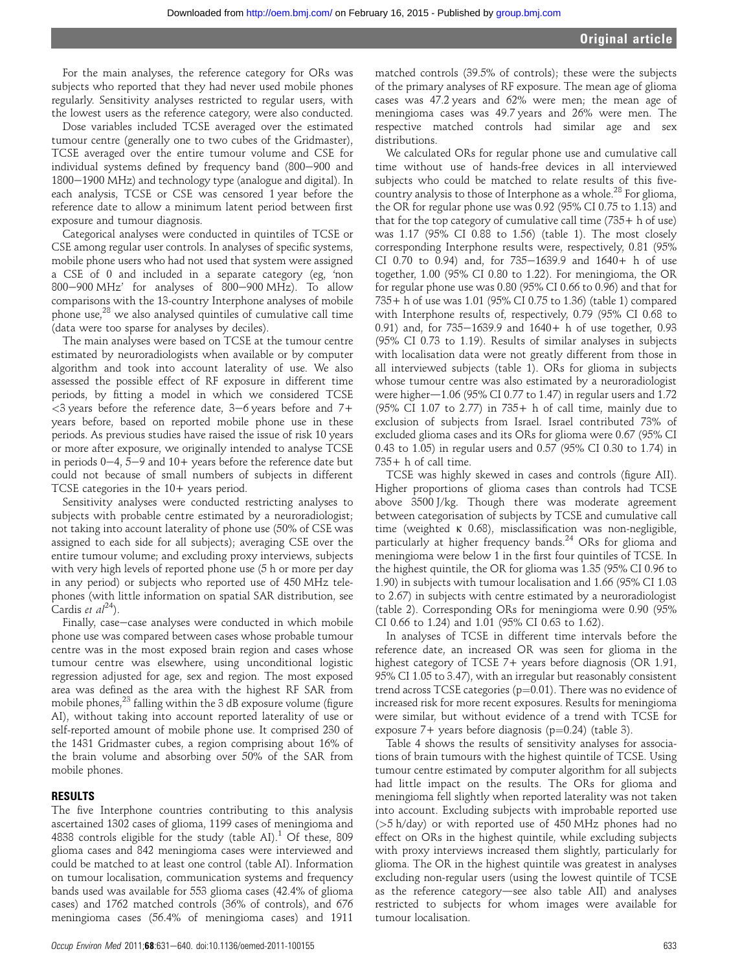For the main analyses, the reference category for ORs was subjects who reported that they had never used mobile phones regularly. Sensitivity analyses restricted to regular users, with the lowest users as the reference category, were also conducted.

Dose variables included TCSE averaged over the estimated tumour centre (generally one to two cubes of the Gridmaster), TCSE averaged over the entire tumour volume and CSE for individual systems defined by frequency band (800-900 and  $1800-1900$  MHz) and technology type (analogue and digital). In each analysis, TCSE or CSE was censored 1 year before the reference date to allow a minimum latent period between first exposure and tumour diagnosis.

Categorical analyses were conducted in quintiles of TCSE or CSE among regular user controls. In analyses of specific systems, mobile phone users who had not used that system were assigned a CSE of 0 and included in a separate category (eg, 'non  $800-900$  MHz' for analyses of  $800-900$  MHz). To allow comparisons with the 13-country Interphone analyses of mobile phone use, $28$  we also analysed quintiles of cumulative call time (data were too sparse for analyses by deciles).

The main analyses were based on TCSE at the tumour centre estimated by neuroradiologists when available or by computer algorithm and took into account laterality of use. We also assessed the possible effect of RF exposure in different time periods, by fitting a model in which we considered TCSE  $<3$  years before the reference date,  $3-6$  years before and  $7+$ years before, based on reported mobile phone use in these periods. As previous studies have raised the issue of risk 10 years or more after exposure, we originally intended to analyse TCSE in periods  $0-4$ ,  $5-9$  and  $10+$  years before the reference date but could not because of small numbers of subjects in different TCSE categories in the 10+ years period.

Sensitivity analyses were conducted restricting analyses to subjects with probable centre estimated by a neuroradiologist; not taking into account laterality of phone use (50% of CSE was assigned to each side for all subjects); averaging CSE over the entire tumour volume; and excluding proxy interviews, subjects with very high levels of reported phone use (5 h or more per day in any period) or subjects who reported use of 450 MHz telephones (with little information on spatial SAR distribution, see Cardis et  $al^{24}$ ).

Finally, case-case analyses were conducted in which mobile phone use was compared between cases whose probable tumour centre was in the most exposed brain region and cases whose tumour centre was elsewhere, using unconditional logistic regression adjusted for age, sex and region. The most exposed area was defined as the area with the highest RF SAR from mobile phones,<sup>23</sup> falling within the 3 dB exposure volume (figure AI), without taking into account reported laterality of use or self-reported amount of mobile phone use. It comprised 230 of the 1431 Gridmaster cubes, a region comprising about 16% of the brain volume and absorbing over 50% of the SAR from mobile phones.

# RESULTS

The five Interphone countries contributing to this analysis ascertained 1302 cases of glioma, 1199 cases of meningioma and 4838 controls eligible for the study (table AI).<sup>1</sup> Of these, 809 glioma cases and 842 meningioma cases were interviewed and could be matched to at least one control (table AI). Information on tumour localisation, communication systems and frequency bands used was available for 553 glioma cases (42.4% of glioma cases) and 1762 matched controls (36% of controls), and 676 meningioma cases (56.4% of meningioma cases) and 1911

matched controls (39.5% of controls); these were the subjects of the primary analyses of RF exposure. The mean age of glioma cases was 47.2 years and 62% were men; the mean age of meningioma cases was 49.7 years and 26% were men. The respective matched controls had similar age and sex distributions.

We calculated ORs for regular phone use and cumulative call time without use of hands-free devices in all interviewed subjects who could be matched to relate results of this fivecountry analysis to those of Interphone as a whole.<sup>28</sup> For glioma, the OR for regular phone use was 0.92 (95% CI 0.75 to 1.13) and that for the top category of cumulative call time  $(735 + h)$  of use) was 1.17 (95% CI 0.88 to 1.56) (table 1). The most closely corresponding Interphone results were, respectively, 0.81 (95% CI 0.70 to 0.94) and, for  $735-1639.9$  and  $1640+$  h of use together, 1.00 (95% CI 0.80 to 1.22). For meningioma, the OR for regular phone use was 0.80 (95% CI 0.66 to 0.96) and that for 735+ h of use was 1.01 (95% CI 0.75 to 1.36) (table 1) compared with Interphone results of, respectively, 0.79 (95% CI 0.68 to 0.91) and, for  $735-1639.9$  and  $1640+$  h of use together, 0.93 (95% CI 0.73 to 1.19). Results of similar analyses in subjects with localisation data were not greatly different from those in all interviewed subjects (table 1). ORs for glioma in subjects whose tumour centre was also estimated by a neuroradiologist were higher $-1.06$  (95% CI 0.77 to 1.47) in regular users and 1.72 (95% CI 1.07 to 2.77) in 735+ h of call time, mainly due to exclusion of subjects from Israel. Israel contributed 73% of excluded glioma cases and its ORs for glioma were 0.67 (95% CI 0.43 to 1.05) in regular users and 0.57 (95% CI 0.30 to 1.74) in 735+ h of call time.

TCSE was highly skewed in cases and controls (figure AII). Higher proportions of glioma cases than controls had TCSE above 3500 J/kg. Though there was moderate agreement between categorisation of subjects by TCSE and cumulative call time (weighted k 0.68), misclassification was non-negligible, particularly at higher frequency bands.<sup>24</sup> ORs for glioma and meningioma were below 1 in the first four quintiles of TCSE. In the highest quintile, the OR for glioma was 1.35 (95% CI 0.96 to 1.90) in subjects with tumour localisation and 1.66 (95% CI 1.03 to 2.67) in subjects with centre estimated by a neuroradiologist (table 2). Corresponding ORs for meningioma were 0.90 (95% CI 0.66 to 1.24) and 1.01 (95% CI 0.63 to 1.62).

In analyses of TCSE in different time intervals before the reference date, an increased OR was seen for glioma in the highest category of TCSE 7+ years before diagnosis (OR 1.91, 95% CI 1.05 to 3.47), with an irregular but reasonably consistent trend across TCSE categories ( $p=0.01$ ). There was no evidence of increased risk for more recent exposures. Results for meningioma were similar, but without evidence of a trend with TCSE for exposure 7+ years before diagnosis ( $p=0.24$ ) (table 3).

Table 4 shows the results of sensitivity analyses for associations of brain tumours with the highest quintile of TCSE. Using tumour centre estimated by computer algorithm for all subjects had little impact on the results. The ORs for glioma and meningioma fell slightly when reported laterality was not taken into account. Excluding subjects with improbable reported use (>5 h/day) or with reported use of 450 MHz phones had no effect on ORs in the highest quintile, while excluding subjects with proxy interviews increased them slightly, particularly for glioma. The OR in the highest quintile was greatest in analyses excluding non-regular users (using the lowest quintile of TCSE as the reference category-see also table AII) and analyses restricted to subjects for whom images were available for tumour localisation.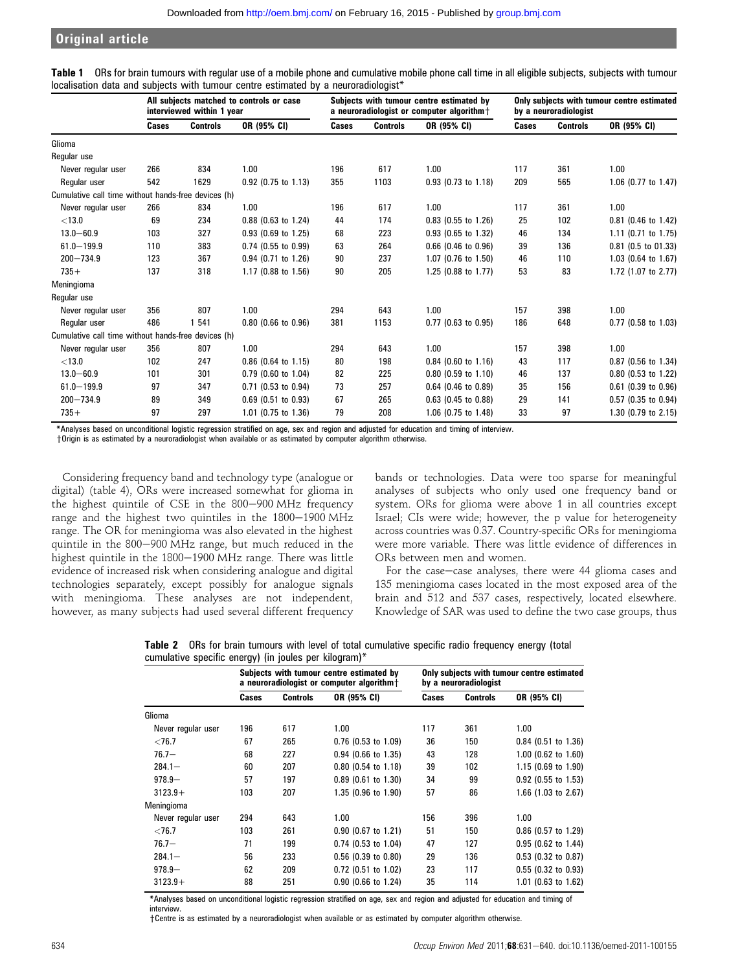|                                                     | All subjects matched to controls or case<br>interviewed within 1 year |                 |                       |       | Subjects with tumour centre estimated by<br>a neuroradiologist or computer algorithm $\dagger$ |                       |       | Only subjects with tumour centre estimated<br>by a neuroradiologist |                       |  |
|-----------------------------------------------------|-----------------------------------------------------------------------|-----------------|-----------------------|-------|------------------------------------------------------------------------------------------------|-----------------------|-------|---------------------------------------------------------------------|-----------------------|--|
|                                                     | Cases                                                                 | <b>Controls</b> | OR (95% CI)           | Cases | <b>Controls</b>                                                                                | OR (95% CI)           | Cases | <b>Controls</b>                                                     | OR (95% CI)           |  |
| Glioma                                              |                                                                       |                 |                       |       |                                                                                                |                       |       |                                                                     |                       |  |
| Regular use                                         |                                                                       |                 |                       |       |                                                                                                |                       |       |                                                                     |                       |  |
| Never regular user                                  | 266                                                                   | 834             | 1.00                  | 196   | 617                                                                                            | 1.00                  | 117   | 361                                                                 | 1.00                  |  |
| Regular user                                        | 542                                                                   | 1629            | 0.92 (0.75 to 1.13)   | 355   | 1103                                                                                           | 0.93 (0.73 to 1.18)   | 209   | 565                                                                 | 1.06 (0.77 to 1.47)   |  |
| Cumulative call time without hands-free devices (h) |                                                                       |                 |                       |       |                                                                                                |                       |       |                                                                     |                       |  |
| Never regular user                                  | 266                                                                   | 834             | 1.00                  | 196   | 617                                                                                            | 1.00                  | 117   | 361                                                                 | 1.00                  |  |
| < 13.0                                              | 69                                                                    | 234             | $0.88$ (0.63 to 1.24) | 44    | 174                                                                                            | $0.83$ (0.55 to 1.26) | 25    | 102                                                                 | 0.81 (0.46 to 1.42)   |  |
| $13.0 - 60.9$                                       | 103                                                                   | 327             | $0.93$ (0.69 to 1.25) | 68    | 223                                                                                            | 0.93 (0.65 to 1.32)   | 46    | 134                                                                 | 1.11 (0.71 to 1.75)   |  |
| $61.0 - 199.9$                                      | 110                                                                   | 383             | $0.74$ (0.55 to 0.99) | 63    | 264                                                                                            | $0.66$ (0.46 to 0.96) | 39    | 136                                                                 | 0.81 (0.5 to 01.33)   |  |
| $200 - 734.9$                                       | 123                                                                   | 367             | 0.94 (0.71 to 1.26)   | 90    | 237                                                                                            | 1.07 (0.76 to 1.50)   | 46    | 110                                                                 | 1.03 (0.64 to 1.67)   |  |
| $735+$                                              | 137                                                                   | 318             | 1.17 (0.88 to 1.56)   | 90    | 205                                                                                            | 1.25 (0.88 to 1.77)   | 53    | 83                                                                  | 1.72 (1.07 to 2.77)   |  |
| Meningioma                                          |                                                                       |                 |                       |       |                                                                                                |                       |       |                                                                     |                       |  |
| Regular use                                         |                                                                       |                 |                       |       |                                                                                                |                       |       |                                                                     |                       |  |
| Never regular user                                  | 356                                                                   | 807             | 1.00                  | 294   | 643                                                                                            | 1.00                  | 157   | 398                                                                 | 1.00                  |  |
| Regular user                                        | 486                                                                   | 1 541           | $0.80$ (0.66 to 0.96) | 381   | 1153                                                                                           | $0.77$ (0.63 to 0.95) | 186   | 648                                                                 | 0.77 (0.58 to 1.03)   |  |
| Cumulative call time without hands-free devices (h) |                                                                       |                 |                       |       |                                                                                                |                       |       |                                                                     |                       |  |
| Never regular user                                  | 356                                                                   | 807             | 1.00                  | 294   | 643                                                                                            | 1.00                  | 157   | 398                                                                 | 1.00                  |  |
| < 13.0                                              | 102                                                                   | 247             | $0.86$ (0.64 to 1.15) | 80    | 198                                                                                            | $0.84$ (0.60 to 1.16) | 43    | 117                                                                 | 0.87 (0.56 to 1.34)   |  |
| $13.0 - 60.9$                                       | 101                                                                   | 301             | $0.79$ (0.60 to 1.04) | 82    | 225                                                                                            | $0.80$ (0.59 to 1.10) | 46    | 137                                                                 | 0.80 (0.53 to 1.22)   |  |
| $61.0 - 199.9$                                      | 97                                                                    | 347             | $0.71$ (0.53 to 0.94) | 73    | 257                                                                                            | $0.64$ (0.46 to 0.89) | 35    | 156                                                                 | $0.61$ (0.39 to 0.96) |  |
| $200 - 734.9$                                       | 89                                                                    | 349             | $0.69$ (0.51 to 0.93) | 67    | 265                                                                                            | $0.63$ (0.45 to 0.88) | 29    | 141                                                                 | 0.57 (0.35 to 0.94)   |  |
| $735+$                                              | 97                                                                    | 297             | 1.01 (0.75 to 1.36)   | 79    | 208                                                                                            | 1.06 (0.75 to 1.48)   | 33    | 97                                                                  | 1.30 (0.79 to 2.15)   |  |

| Table 1 ORs for brain tumours with regular use of a mobile phone and cumulative mobile phone call time in all eligible subjects, subjects with tumour |  |  |  |  |
|-------------------------------------------------------------------------------------------------------------------------------------------------------|--|--|--|--|
| localisation data and subjects with tumour centre estimated by a neuroradiologist*                                                                    |  |  |  |  |

\*Analyses based on unconditional logistic regression stratified on age, sex and region and adjusted for education and timing of interview.

yOrigin is as estimated by a neuroradiologist when available or as estimated by computer algorithm otherwise.

Considering frequency band and technology type (analogue or digital) (table 4), ORs were increased somewhat for glioma in the highest quintile of CSE in the  $800-900$  MHz frequency range and the highest two quintiles in the 1800-1900 MHz range. The OR for meningioma was also elevated in the highest quintile in the 800-900 MHz range, but much reduced in the highest quintile in the 1800-1900 MHz range. There was little evidence of increased risk when considering analogue and digital technologies separately, except possibly for analogue signals with meningioma. These analyses are not independent, however, as many subjects had used several different frequency

bands or technologies. Data were too sparse for meaningful analyses of subjects who only used one frequency band or system. ORs for glioma were above 1 in all countries except Israel; CIs were wide; however, the p value for heterogeneity across countries was 0.37. Country-specific ORs for meningioma were more variable. There was little evidence of differences in ORs between men and women.

For the case-case analyses, there were 44 glioma cases and 135 meningioma cases located in the most exposed area of the brain and 512 and 537 cases, respectively, located elsewhere. Knowledge of SAR was used to define the two case groups, thus

|                                                       |  |  |  | Table 2 ORs for brain tumours with level of total cumulative specific radio frequency energy (total |  |  |  |
|-------------------------------------------------------|--|--|--|-----------------------------------------------------------------------------------------------------|--|--|--|
| cumulative specific energy) (in joules per kilogram)* |  |  |  |                                                                                                     |  |  |  |

|                    |       |                 | Subjects with tumour centre estimated by<br>a neuroradiologist or computer algorithm+ | Only subjects with tumour centre estimated<br>by a neuroradiologist |                 |                       |  |
|--------------------|-------|-----------------|---------------------------------------------------------------------------------------|---------------------------------------------------------------------|-----------------|-----------------------|--|
|                    | Cases | <b>Controls</b> | OR (95% CI)                                                                           | Cases                                                               | <b>Controls</b> | OR (95% CI)           |  |
| Glioma             |       |                 |                                                                                       |                                                                     |                 |                       |  |
| Never regular user | 196   | 617             | 1.00                                                                                  | 117                                                                 | 361             | 1.00                  |  |
| ${<}76.7$          | 67    | 265             | $0.76$ (0.53 to 1.09)                                                                 | 36                                                                  | 150             | $0.84$ (0.51 to 1.36) |  |
| $76.7 -$           | 68    | 227             | $0.94$ (0.66 to 1.35)                                                                 | 43                                                                  | 128             | 1.00 (0.62 to 1.60)   |  |
| $284.1 -$          | 60    | 207             | $0.80$ (0.54 to 1.18)                                                                 | 39                                                                  | 102             | 1.15 (0.69 to 1.90)   |  |
| $978.9 -$          | 57    | 197             | $0.89$ (0.61 to 1.30)                                                                 | 34                                                                  | 99              | $0.92$ (0.55 to 1.53) |  |
| $3123.9+$          | 103   | 207             | 1.35 (0.96 to 1.90)                                                                   | 57                                                                  | 86              | 1.66 (1.03 to 2.67)   |  |
| Meningioma         |       |                 |                                                                                       |                                                                     |                 |                       |  |
| Never regular user | 294   | 643             | 1.00                                                                                  | 156                                                                 | 396             | 1.00                  |  |
| $<$ 76.7           | 103   | 261             | 0.90 (0.67 to 1.21)                                                                   | 51                                                                  | 150             | 0.86 (0.57 to 1.29)   |  |
| $76.7 -$           | 71    | 199             | 0.74 (0.53 to 1.04)                                                                   | 47                                                                  | 127             | $0.95$ (0.62 to 1.44) |  |
| $284.1 -$          | 56    | 233             | $0.56$ (0.39 to 0.80)                                                                 | 29                                                                  | 136             | $0.53$ (0.32 to 0.87) |  |
| $978.9 -$          | 62    | 209             | 0.72 (0.51 to 1.02)                                                                   | 23                                                                  | 117             | $0.55$ (0.32 to 0.93) |  |
| $3123.9+$          | 88    | 251             | 0.90 (0.66 to 1.24)                                                                   | 35                                                                  | 114             | 1.01 (0.63 to 1.62)   |  |

\*Analyses based on unconditional logistic regression stratified on age, sex and region and adjusted for education and timing of interview.

yCentre is as estimated by a neuroradiologist when available or as estimated by computer algorithm otherwise.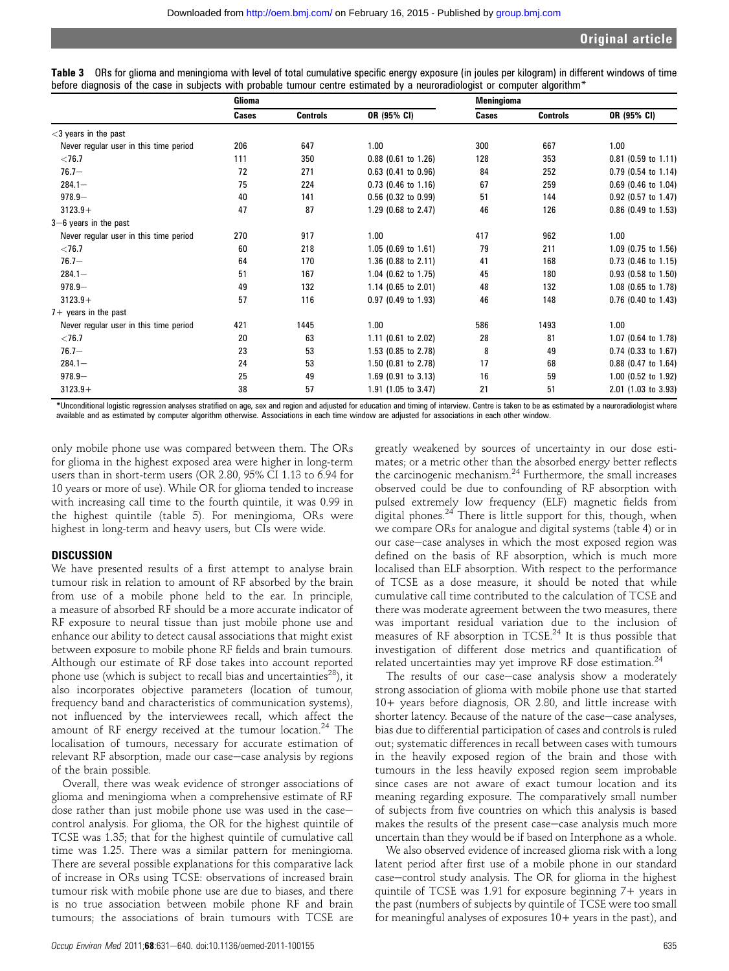|                                                                                                                                                     | Cliense. |  | <b>Moningiamo</b> |  |  |
|-----------------------------------------------------------------------------------------------------------------------------------------------------|----------|--|-------------------|--|--|
| before diagnosis of the case in subjects with probable tumour centre estimated by a neuroradiologist or computer algorithm*                         |          |  |                   |  |  |
| Table 3 ORs for glioma and meningioma with level of total cumulative specific energy exposure (in joules per kilogram) in different windows of time |          |  |                   |  |  |

|                                        | Glioma |                 |                       | <b>Meningioma</b> |                 |                       |  |
|----------------------------------------|--------|-----------------|-----------------------|-------------------|-----------------|-----------------------|--|
|                                        | Cases  | <b>Controls</b> | OR (95% CI)           | Cases             | <b>Controls</b> | OR (95% CI)           |  |
| $<$ 3 years in the past                |        |                 |                       |                   |                 |                       |  |
| Never regular user in this time period | 206    | 647             | 1.00                  | 300               | 667             | 1.00                  |  |
| ${<}76.7$                              | 111    | 350             | $0.88$ (0.61 to 1.26) | 128               | 353             | $0.81$ (0.59 to 1.11) |  |
| $76.7 -$                               | 72     | 271             | $0.63$ (0.41 to 0.96) | 84                | 252             | $0.79$ (0.54 to 1.14) |  |
| $284.1 -$                              | 75     | 224             | $0.73$ (0.46 to 1.16) | 67                | 259             | $0.69$ (0.46 to 1.04) |  |
| $978.9 -$                              | 40     | 141             | $0.56$ (0.32 to 0.99) | 51                | 144             | $0.92$ (0.57 to 1.47) |  |
| $3123.9+$                              | 47     | 87              | 1.29 (0.68 to 2.47)   | 46                | 126             | $0.86$ (0.49 to 1.53) |  |
| $3-6$ years in the past                |        |                 |                       |                   |                 |                       |  |
| Never regular user in this time period | 270    | 917             | 1.00                  | 417               | 962             | 1.00                  |  |
| ${<}76.7$                              | 60     | 218             | $1.05$ (0.69 to 1.61) | 79                | 211             | 1.09 (0.75 to 1.56)   |  |
| $76.7 -$                               | 64     | 170             | 1.36 (0.88 to 2.11)   | 41                | 168             | $0.73$ (0.46 to 1.15) |  |
| $284.1 -$                              | 51     | 167             | 1.04 (0.62 to 1.75)   | 45                | 180             | $0.93$ (0.58 to 1.50) |  |
| $978.9 -$                              | 49     | 132             | 1.14 (0.65 to 2.01)   | 48                | 132             | 1.08 (0.65 to 1.78)   |  |
| $3123.9+$                              | 57     | 116             | $0.97$ (0.49 to 1.93) | 46                | 148             | $0.76$ (0.40 to 1.43) |  |
| $7+$ years in the past                 |        |                 |                       |                   |                 |                       |  |
| Never regular user in this time period | 421    | 1445            | 1.00                  | 586               | 1493            | 1.00                  |  |
| $<$ 76.7                               | 20     | 63              | 1.11 (0.61 to 2.02)   | 28                | 81              | 1.07 (0.64 to 1.78)   |  |
| $76.7 -$                               | 23     | 53              | 1.53 (0.85 to 2.78)   | 8                 | 49              | $0.74$ (0.33 to 1.67) |  |
| $284.1 -$                              | 24     | 53              | 1.50 (0.81 to 2.78)   | 17                | 68              | $0.88$ (0.47 to 1.64) |  |
| $978.9 -$                              | 25     | 49              | 1.69 (0.91 to 3.13)   | 16                | 59              | 1.00 (0.52 to 1.92)   |  |
| $3123.9+$                              | 38     | 57              | 1.91 (1.05 to 3.47)   | 21                | 51              | 2.01 (1.03 to 3.93)   |  |

\*Unconditional logistic regression analyses stratified on age, sex and region and adjusted for education and timing of interview. Centre is taken to be as estimated by a neuroradiologist where available and as estimated by computer algorithm otherwise. Associations in each time window are adjusted for associations in each other window.

only mobile phone use was compared between them. The ORs for glioma in the highest exposed area were higher in long-term users than in short-term users (OR 2.80, 95% CI 1.13 to 6.94 for 10 years or more of use). While OR for glioma tended to increase with increasing call time to the fourth quintile, it was 0.99 in the highest quintile (table 5). For meningioma, ORs were highest in long-term and heavy users, but CIs were wide.

# **DISCUSSION**

We have presented results of a first attempt to analyse brain tumour risk in relation to amount of RF absorbed by the brain from use of a mobile phone held to the ear. In principle, a measure of absorbed RF should be a more accurate indicator of RF exposure to neural tissue than just mobile phone use and enhance our ability to detect causal associations that might exist between exposure to mobile phone RF fields and brain tumours. Although our estimate of RF dose takes into account reported phone use (which is subject to recall bias and uncertainties<sup>28</sup>), it also incorporates objective parameters (location of tumour, frequency band and characteristics of communication systems), not influenced by the interviewees recall, which affect the amount of RF energy received at the tumour location.<sup>24</sup> The localisation of tumours, necessary for accurate estimation of relevant RF absorption, made our case-case analysis by regions of the brain possible.

Overall, there was weak evidence of stronger associations of glioma and meningioma when a comprehensive estimate of RF dose rather than just mobile phone use was used in the casecontrol analysis. For glioma, the OR for the highest quintile of TCSE was 1.35; that for the highest quintile of cumulative call time was 1.25. There was a similar pattern for meningioma. There are several possible explanations for this comparative lack of increase in ORs using TCSE: observations of increased brain tumour risk with mobile phone use are due to biases, and there is no true association between mobile phone RF and brain tumours; the associations of brain tumours with TCSE are

greatly weakened by sources of uncertainty in our dose estimates; or a metric other than the absorbed energy better reflects the carcinogenic mechanism.<sup>24</sup> Furthermore, the small increases observed could be due to confounding of RF absorption with pulsed extremely low frequency (ELF) magnetic fields from digital phones.<sup>24</sup> There is little support for this, though, when we compare ORs for analogue and digital systems (table 4) or in our case-case analyses in which the most exposed region was defined on the basis of RF absorption, which is much more localised than ELF absorption. With respect to the performance of TCSE as a dose measure, it should be noted that while cumulative call time contributed to the calculation of TCSE and there was moderate agreement between the two measures, there was important residual variation due to the inclusion of measures of RF absorption in TCSE.<sup>24</sup> It is thus possible that investigation of different dose metrics and quantification of related uncertainties may yet improve RF dose estimation.<sup>24</sup>

The results of our case-case analysis show a moderately strong association of glioma with mobile phone use that started 10+ years before diagnosis, OR 2.80, and little increase with shorter latency. Because of the nature of the case-case analyses, bias due to differential participation of cases and controls is ruled out; systematic differences in recall between cases with tumours in the heavily exposed region of the brain and those with tumours in the less heavily exposed region seem improbable since cases are not aware of exact tumour location and its meaning regarding exposure. The comparatively small number of subjects from five countries on which this analysis is based makes the results of the present case-case analysis much more uncertain than they would be if based on Interphone as a whole.

We also observed evidence of increased glioma risk with a long latent period after first use of a mobile phone in our standard case-control study analysis. The OR for glioma in the highest quintile of TCSE was 1.91 for exposure beginning 7+ years in the past (numbers of subjects by quintile of TCSE were too small for meaningful analyses of exposures 10+ years in the past), and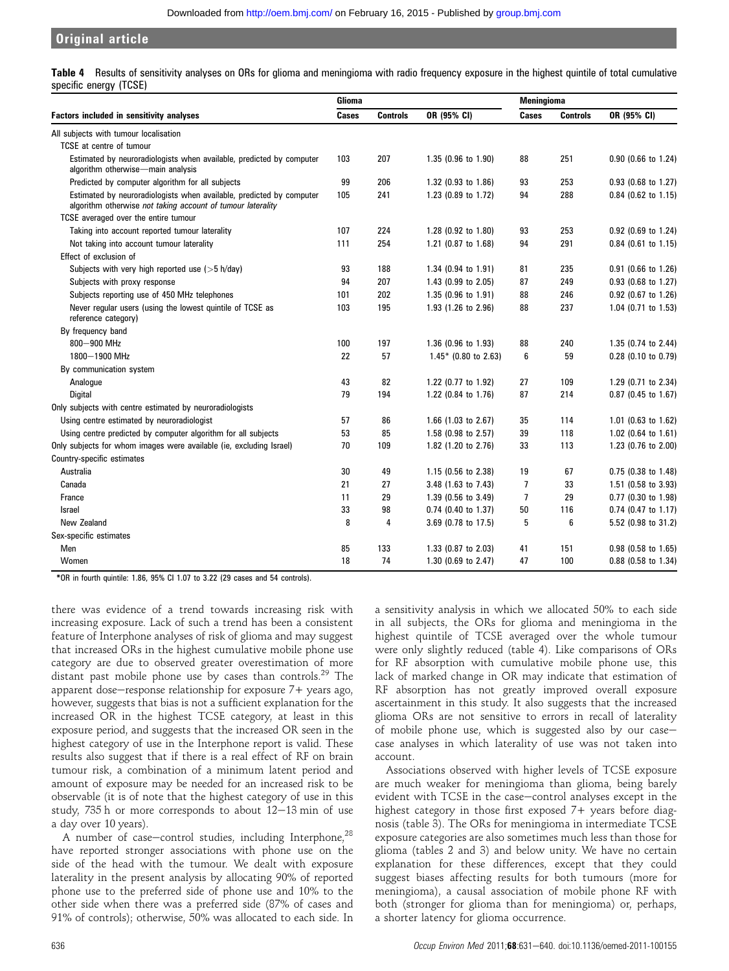Table 4 Results of sensitivity analyses on ORs for glioma and meningioma with radio frequency exposure in the highest quintile of total cumulative specific energy (TCSE)

|                                                                                                                                     | <b>Glioma</b> |                 |                        | <b>Meningioma</b> |                 |                       |  |
|-------------------------------------------------------------------------------------------------------------------------------------|---------------|-----------------|------------------------|-------------------|-----------------|-----------------------|--|
| <b>Factors included in sensitivity analyses</b>                                                                                     | Cases         | <b>Controls</b> | OR (95% CI)            | <b>Cases</b>      | <b>Controls</b> | OR (95% CI)           |  |
| All subjects with tumour localisation                                                                                               |               |                 |                        |                   |                 |                       |  |
| TCSE at centre of tumour                                                                                                            |               |                 |                        |                   |                 |                       |  |
| Estimated by neuroradiologists when available, predicted by computer<br>algorithm otherwise-main analysis                           | 103           | 207             | 1.35 (0.96 to 1.90)    | 88                | 251             | 0.90 (0.66 to 1.24)   |  |
| Predicted by computer algorithm for all subjects                                                                                    | 99            | 206             | 1.32 (0.93 to 1.86)    | 93                | 253             | 0.93 (0.68 to 1.27)   |  |
| Estimated by neuroradiologists when available, predicted by computer<br>algorithm otherwise not taking account of tumour laterality | 105           | 241             | 1.23 (0.89 to 1.72)    | 94                | 288             | $0.84$ (0.62 to 1.15) |  |
| TCSE averaged over the entire tumour                                                                                                |               |                 |                        |                   |                 |                       |  |
| Taking into account reported tumour laterality                                                                                      | 107           | 224             | 1.28 (0.92 to 1.80)    | 93                | 253             | $0.92$ (0.69 to 1.24) |  |
| Not taking into account tumour laterality                                                                                           | 111           | 254             | 1.21 (0.87 to 1.68)    | 94                | 291             | $0.84$ (0.61 to 1.15) |  |
| Effect of exclusion of                                                                                                              |               |                 |                        |                   |                 |                       |  |
| Subjects with very high reported use $($ > 5 h/day)                                                                                 | 93            | 188             | 1.34 (0.94 to 1.91)    | 81                | 235             | 0.91 (0.66 to 1.26)   |  |
| Subjects with proxy response                                                                                                        | 94            | 207             | 1.43 (0.99 to 2.05)    | 87                | 249             | $0.93$ (0.68 to 1.27) |  |
| Subjects reporting use of 450 MHz telephones                                                                                        | 101           | 202             | 1.35 (0.96 to 1.91)    | 88                | 246             | 0.92 (0.67 to 1.26)   |  |
| Never regular users (using the lowest quintile of TCSE as<br>reference category)                                                    | 103           | 195             | 1.93 (1.26 to 2.96)    | 88                | 237             | 1.04 (0.71 to 1.53)   |  |
| By frequency band                                                                                                                   |               |                 |                        |                   |                 |                       |  |
| 800-900 MHz                                                                                                                         | 100           | 197             | 1.36 (0.96 to 1.93)    | 88                | 240             | 1.35 (0.74 to 2.44)   |  |
| 1800-1900 MHz                                                                                                                       | 22            | 57              | $1.45*$ (0.80 to 2.63) | 6                 | 59              | $0.28$ (0.10 to 0.79) |  |
| By communication system                                                                                                             |               |                 |                        |                   |                 |                       |  |
| Analogue                                                                                                                            | 43            | 82              | 1.22 (0.77 to 1.92)    | 27                | 109             | 1.29 (0.71 to 2.34)   |  |
| <b>Digital</b>                                                                                                                      | 79            | 194             | 1.22 (0.84 to 1.76)    | 87                | 214             | 0.87 (0.45 to 1.67)   |  |
| Only subjects with centre estimated by neuroradiologists                                                                            |               |                 |                        |                   |                 |                       |  |
| Using centre estimated by neuroradiologist                                                                                          | 57            | 86              | 1.66 (1.03 to 2.67)    | 35                | 114             | 1.01 (0.63 to 1.62)   |  |
| Using centre predicted by computer algorithm for all subjects                                                                       | 53            | 85              | 1.58 (0.98 to 2.57)    | 39                | 118             | 1.02 (0.64 to 1.61)   |  |
| Only subjects for whom images were available (ie, excluding Israel)                                                                 | 70            | 109             | 1.82 (1.20 to 2.76)    | 33                | 113             | 1.23 (0.76 to 2.00)   |  |
| Country-specific estimates                                                                                                          |               |                 |                        |                   |                 |                       |  |
| Australia                                                                                                                           | 30            | 49              | 1.15 (0.56 to 2.38)    | 19                | 67              | $0.75$ (0.38 to 1.48) |  |
| Canada                                                                                                                              | 21            | 27              | 3.48 (1.63 to 7.43)    | $\overline{1}$    | 33              | 1.51 (0.58 to 3.93)   |  |
| France                                                                                                                              | 11            | 29              | 1.39 (0.56 to 3.49)    | $\overline{1}$    | 29              | 0.77 (0.30 to 1.98)   |  |
| <b>Israel</b>                                                                                                                       | 33            | 98              | 0.74 (0.40 to 1.37)    | 50                | 116             | $0.74$ (0.47 to 1.17) |  |
| New Zealand                                                                                                                         | 8             | 4               | 3.69 (0.78 to 17.5)    | 5                 | 6               | 5.52 (0.98 to 31.2)   |  |
| Sex-specific estimates                                                                                                              |               |                 |                        |                   |                 |                       |  |
| Men                                                                                                                                 | 85            | 133             | 1.33 (0.87 to 2.03)    | 41                | 151             | 0.98 (0.58 to 1.65)   |  |
| Women                                                                                                                               | 18            | 74              | 1.30 (0.69 to 2.47)    | 47                | 100             | 0.88 (0.58 to 1.34)   |  |

\*OR in fourth quintile: 1.86, 95% CI 1.07 to 3.22 (29 cases and 54 controls).

there was evidence of a trend towards increasing risk with increasing exposure. Lack of such a trend has been a consistent feature of Interphone analyses of risk of glioma and may suggest that increased ORs in the highest cumulative mobile phone use category are due to observed greater overestimation of more distant past mobile phone use by cases than controls.<sup>29</sup> The apparent dose-response relationship for exposure  $7+$  years ago, however, suggests that bias is not a sufficient explanation for the increased OR in the highest TCSE category, at least in this exposure period, and suggests that the increased OR seen in the highest category of use in the Interphone report is valid. These results also suggest that if there is a real effect of RF on brain tumour risk, a combination of a minimum latent period and amount of exposure may be needed for an increased risk to be observable (it is of note that the highest category of use in this study,  $735$  h or more corresponds to about  $12-13$  min of use a day over 10 years).

A number of case-control studies, including Interphone, $^{28}$ have reported stronger associations with phone use on the side of the head with the tumour. We dealt with exposure laterality in the present analysis by allocating 90% of reported phone use to the preferred side of phone use and 10% to the other side when there was a preferred side (87% of cases and 91% of controls); otherwise, 50% was allocated to each side. In a sensitivity analysis in which we allocated 50% to each side in all subjects, the ORs for glioma and meningioma in the highest quintile of TCSE averaged over the whole tumour were only slightly reduced (table 4). Like comparisons of ORs for RF absorption with cumulative mobile phone use, this lack of marked change in OR may indicate that estimation of RF absorption has not greatly improved overall exposure ascertainment in this study. It also suggests that the increased glioma ORs are not sensitive to errors in recall of laterality of mobile phone use, which is suggested also by our casecase analyses in which laterality of use was not taken into account.

Associations observed with higher levels of TCSE exposure are much weaker for meningioma than glioma, being barely evident with TCSE in the case-control analyses except in the highest category in those first exposed 7+ years before diagnosis (table 3). The ORs for meningioma in intermediate TCSE exposure categories are also sometimes much less than those for glioma (tables 2 and 3) and below unity. We have no certain explanation for these differences, except that they could suggest biases affecting results for both tumours (more for meningioma), a causal association of mobile phone RF with both (stronger for glioma than for meningioma) or, perhaps, a shorter latency for glioma occurrence.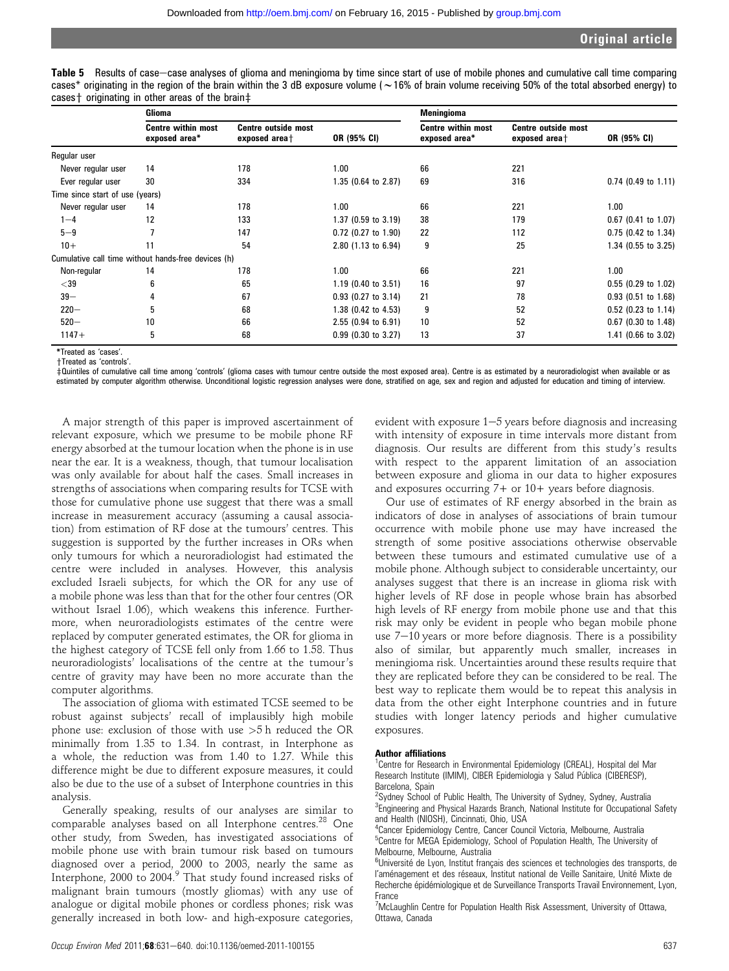| Table 5 Results of case—case analyses of glioma and meningioma by time since start of use of mobile phones and cumulative call time comparing             |  |
|-----------------------------------------------------------------------------------------------------------------------------------------------------------|--|
| cases* originating in the region of the brain within the 3 dB exposure volume ( $\sim$ 16% of brain volume receiving 50% of the total absorbed energy) to |  |
| cases† originating in other areas of the brain‡                                                                                                           |  |

|                                 | Glioma                                              |                                             |                       | <b>Meningioma</b>                          |                                             |                       |  |
|---------------------------------|-----------------------------------------------------|---------------------------------------------|-----------------------|--------------------------------------------|---------------------------------------------|-----------------------|--|
|                                 | <b>Centre within most</b><br>exposed area*          | <b>Centre outside most</b><br>exposed area+ | OR (95% CI)           | <b>Centre within most</b><br>exposed area* | <b>Centre outside most</b><br>exposed area+ | OR (95% CI)           |  |
| Regular user                    |                                                     |                                             |                       |                                            |                                             |                       |  |
| Never regular user              | 14                                                  | 178                                         | 1.00                  | 66                                         | 221                                         |                       |  |
| Ever regular user               | 30                                                  | 334                                         | 1.35 (0.64 to 2.87)   | 69                                         | 316                                         | $0.74$ (0.49 to 1.11) |  |
| Time since start of use (years) |                                                     |                                             |                       |                                            |                                             |                       |  |
| Never regular user              | 14                                                  | 178                                         | 1.00                  | 66                                         | 221                                         | 1.00                  |  |
| $1 - 4$                         | 12                                                  | 133                                         | 1.37 (0.59 to 3.19)   | 38                                         | 179                                         | $0.67$ (0.41 to 1.07) |  |
| $5 - 9$                         |                                                     | 147                                         | $0.72$ (0.27 to 1.90) | 22                                         | 112                                         | $0.75$ (0.42 to 1.34) |  |
| $10+$                           | 11                                                  | 54                                          | 2.80 (1.13 to 6.94)   | 9                                          | 25                                          | 1.34 (0.55 to 3.25)   |  |
|                                 | Cumulative call time without hands-free devices (h) |                                             |                       |                                            |                                             |                       |  |
| Non-regular                     | 14                                                  | 178                                         | 1.00                  | 66                                         | 221                                         | 1.00                  |  |
| $<$ 39                          | 6                                                   | 65                                          | 1.19 (0.40 to 3.51)   | 16                                         | 97                                          | $0.55$ (0.29 to 1.02) |  |
| $39 -$                          |                                                     | 67                                          | $0.93$ (0.27 to 3.14) | 21                                         | 78                                          | $0.93$ (0.51 to 1.68) |  |
| $220 -$                         | 5                                                   | 68                                          | 1.38 (0.42 to 4.53)   | 9                                          | 52                                          | $0.52$ (0.23 to 1.14) |  |
| $520 -$                         | 10                                                  | 66                                          | $2.55$ (0.94 to 6.91) | 10                                         | 52                                          | 0.67 (0.30 to 1.48)   |  |
| $1147+$                         | 5                                                   | 68                                          | $0.99$ (0.30 to 3.27) | 13                                         | 37                                          | 1.41 (0.66 to 3.02)   |  |

\*Treated as 'cases'.

+Treated as 'controls'.

zQuintiles of cumulative call time among 'controls' (glioma cases with tumour centre outside the most exposed area). Centre is as estimated by a neuroradiologist when available or as estimated by computer algorithm otherwise. Unconditional logistic regression analyses were done, stratified on age, sex and region and adjusted for education and timing of interview.

A major strength of this paper is improved ascertainment of relevant exposure, which we presume to be mobile phone RF energy absorbed at the tumour location when the phone is in use near the ear. It is a weakness, though, that tumour localisation was only available for about half the cases. Small increases in strengths of associations when comparing results for TCSE with those for cumulative phone use suggest that there was a small increase in measurement accuracy (assuming a causal association) from estimation of RF dose at the tumours' centres. This suggestion is supported by the further increases in ORs when only tumours for which a neuroradiologist had estimated the centre were included in analyses. However, this analysis excluded Israeli subjects, for which the OR for any use of a mobile phone was less than that for the other four centres (OR without Israel 1.06), which weakens this inference. Furthermore, when neuroradiologists estimates of the centre were replaced by computer generated estimates, the OR for glioma in the highest category of TCSE fell only from 1.66 to 1.58. Thus neuroradiologists' localisations of the centre at the tumour's centre of gravity may have been no more accurate than the computer algorithms.

The association of glioma with estimated TCSE seemed to be robust against subjects' recall of implausibly high mobile phone use: exclusion of those with use >5 h reduced the OR minimally from 1.35 to 1.34. In contrast, in Interphone as a whole, the reduction was from 1.40 to 1.27. While this difference might be due to different exposure measures, it could also be due to the use of a subset of Interphone countries in this analysis.

Generally speaking, results of our analyses are similar to comparable analyses based on all Interphone centres.<sup>28</sup> One other study, from Sweden, has investigated associations of mobile phone use with brain tumour risk based on tumours diagnosed over a period, 2000 to 2003, nearly the same as Interphone, 2000 to 2004.<sup>9</sup> That study found increased risks of malignant brain tumours (mostly gliomas) with any use of analogue or digital mobile phones or cordless phones; risk was generally increased in both low- and high-exposure categories,

evident with exposure  $1-5$  years before diagnosis and increasing with intensity of exposure in time intervals more distant from diagnosis. Our results are different from this study's results with respect to the apparent limitation of an association between exposure and glioma in our data to higher exposures and exposures occurring 7+ or 10+ years before diagnosis.

Our use of estimates of RF energy absorbed in the brain as indicators of dose in analyses of associations of brain tumour occurrence with mobile phone use may have increased the strength of some positive associations otherwise observable between these tumours and estimated cumulative use of a mobile phone. Although subject to considerable uncertainty, our analyses suggest that there is an increase in glioma risk with higher levels of RF dose in people whose brain has absorbed high levels of RF energy from mobile phone use and that this risk may only be evident in people who began mobile phone use  $7-10$  years or more before diagnosis. There is a possibility also of similar, but apparently much smaller, increases in meningioma risk. Uncertainties around these results require that they are replicated before they can be considered to be real. The best way to replicate them would be to repeat this analysis in data from the other eight Interphone countries and in future studies with longer latency periods and higher cumulative exposures.

#### Author affiliations

<sup>1</sup>Centre for Research in Environmental Epidemiology (CREAL), Hospital del Mar Research Institute (IMIM), CIBER Epidemiologia y Salud Pública (CIBERESP), Barcelona, Spain

<sup>2</sup>Sydney School of Public Health, The University of Sydney, Sydney, Australia <sup>3</sup>Engineering and Physical Hazards Branch, National Institute for Occupational Safety and Health (NIOSH), Cincinnati, Ohio, USA

<sup>4</sup> Cancer Epidemiology Centre, Cancer Council Victoria, Melbourne, Australia <sup>5</sup>Centre for MEGA Epidemiology, School of Population Health, The University of Melbourne, Melbourne, Australia

<sup>6</sup>Université de Lyon, Institut français des sciences et technologies des transports, de l'aménagement et des réseaux, Institut national de Veille Sanitaire, Unité Mixte de Recherche épidémiologique et de Surveillance Transports Travail Environnement, Lyon, France

<sup>7</sup>McLaughlin Centre for Population Health Risk Assessment, University of Ottawa, Ottawa, Canada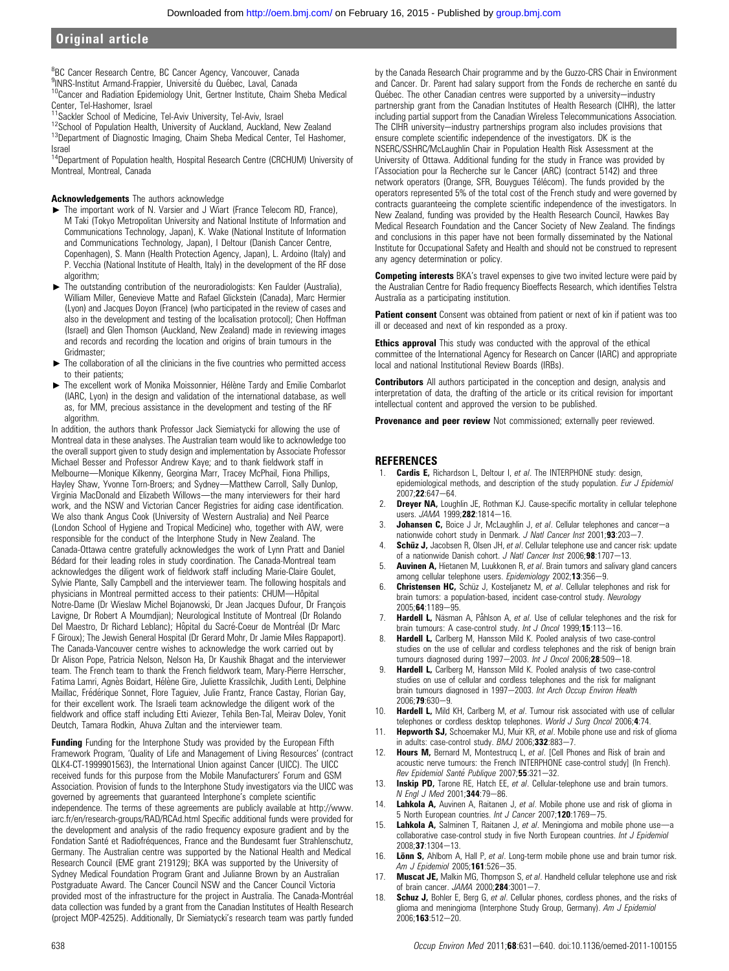<sup>8</sup>BC Cancer Research Centre, BC Cancer Agency, Vancouver, Canada

<sup>9</sup>INRS-Institut Armand-Frappier, Université du Québec, Laval, Canada  $10$ Cancer and Radiation Epidemiology Unit, Gertner Institute, Chaim Sheba Medical

Center, Tel-Hashomer, Israel<br><sup>11</sup>Sackler School of Medicine, Tel-Aviv University, Tel-Aviv, Israel

<sup>12</sup>School of Population Health, University of Auckland, Auckland, New Zealand<br><sup>13</sup>Department of Diagnostic Imaging, Chaim Sheba Medical Center, Tel Hashomer, Israel

<sup>14</sup>Department of Population health, Hospital Research Centre (CRCHUM) University of Montreal, Montreal, Canada

#### Acknowledgements The authors acknowledge

- ▶ The important work of N. Varsier and J Wiart (France Telecom RD, France), M Taki (Tokyo Metropolitan University and National Institute of Information and Communications Technology, Japan), K. Wake (National Institute of Information and Communications Technology, Japan), I Deltour (Danish Cancer Centre, Copenhagen), S. Mann (Health Protection Agency, Japan), L. Ardoino (Italy) and P. Vecchia (National Institute of Health, Italy) in the development of the RF dose algorithm:
- The outstanding contribution of the neuroradiologists: Ken Faulder (Australia), William Miller, Genevieve Matte and Rafael Glickstein (Canada), Marc Hermier (Lyon) and Jacques Doyon (France) (who participated in the review of cases and also in the development and testing of the localisation protocol); Chen Hoffman (Israel) and Glen Thomson (Auckland, New Zealand) made in reviewing images and records and recording the location and origins of brain tumours in the Gridmaster;
- $\blacktriangleright$  The collaboration of all the clinicians in the five countries who permitted access to their patients;
- The excellent work of Monika Moissonnier, Hélène Tardy and Emilie Combarlot (IARC, Lyon) in the design and validation of the international database, as well as, for MM, precious assistance in the development and testing of the RF algorithm

In addition, the authors thank Professor Jack Siemiatycki for allowing the use of Montreal data in these analyses. The Australian team would like to acknowledge too the overall support given to study design and implementation by Associate Professor Michael Besser and Professor Andrew Kaye; and to thank fieldwork staff in Melbourne-Monique Kilkenny, Georgina Marr, Tracey McPhail, Fiona Phillips, Hayley Shaw, Yvonne Torn-Broers; and Sydney-Matthew Carroll, Sally Dunlop, Virginia MacDonald and Elizabeth Willows-the many interviewers for their hard work, and the NSW and Victorian Cancer Registries for aiding case identification. We also thank Angus Cook (University of Western Australia) and Neil Pearce (London School of Hygiene and Tropical Medicine) who, together with AW, were responsible for the conduct of the Interphone Study in New Zealand. The Canada-Ottawa centre gratefully acknowledges the work of Lynn Pratt and Daniel Bédard for their leading roles in study coordination. The Canada-Montreal team acknowledges the diligent work of fieldwork staff including Marie-Claire Goulet, Sylvie Plante, Sally Campbell and the interviewer team. The following hospitals and physicians in Montreal permitted access to their patients: CHUM-Hôpital Notre-Dame (Dr Wieslaw Michel Bojanowski, Dr Jean Jacques Dufour, Dr François Lavigne, Dr Robert A Moumdjian); Neurological Institute of Montreal (Dr Rolando Del Maestro, Dr Richard Leblanc); Hôpital du Sacré-Coeur de Montréal (Dr Marc F Giroux); The Jewish General Hospital (Dr Gerard Mohr, Dr Jamie Miles Rappaport). The Canada-Vancouver centre wishes to acknowledge the work carried out by Dr Alison Pope, Patricia Nelson, Nelson Ha, Dr Kaushik Bhagat and the interviewer team. The French team to thank the French fieldwork team, Mary-Pierre Herrscher, Fatima Lamri, Agnès Boidart, Hélène Gire, Juliette Krassilchik, Judith Lenti, Delphine Maillac, Frédérique Sonnet, Flore Taguiev, Julie Frantz, France Castay, Florian Gay, for their excellent work. The Israeli team acknowledge the diligent work of the fieldwork and office staff including Etti Aviezer, Tehila Ben-Tal, Meirav Dolev, Yonit Deutch, Tamara Rodkin, Ahuva Zultan and the interviewer team.

Funding Funding for the Interphone Study was provided by the European Fifth Framework Program, 'Quality of Life and Management of Living Resources' (contract QLK4-CT-1999901563), the International Union against Cancer (UICC). The UICC received funds for this purpose from the Mobile Manufacturers' Forum and GSM Association. Provision of funds to the Interphone Study investigators via the UICC was governed by agreements that guaranteed Interphone's complete scientific independence. The terms of these agreements are publicly available at http://www. iarc.fr/en/research-groups/RAD/RCAd.html Specific additional funds were provided for the development and analysis of the radio frequency exposure gradient and by the Fondation Santé et Radiofréquences, France and the Bundesamt fuer Strahlenschutz, Germany. The Australian centre was supported by the National Health and Medical Research Council (EME grant 219129); BKA was supported by the University of Sydney Medical Foundation Program Grant and Julianne Brown by an Australian Postgraduate Award. The Cancer Council NSW and the Cancer Council Victoria provided most of the infrastructure for the project in Australia. The Canada-Montréal data collection was funded by a grant from the Canadian Institutes of Health Research (project MOP-42525). Additionally, Dr Siemiatycki's research team was partly funded by the Canada Research Chair programme and by the Guzzo-CRS Chair in Environment and Cancer. Dr. Parent had salary support from the Fonds de recherche en santé du Québec. The other Canadian centres were supported by a university-industry partnership grant from the Canadian Institutes of Health Research (CIHR), the latter including partial support from the Canadian Wireless Telecommunications Association. The CIHR university-industry partnerships program also includes provisions that ensure complete scientific independence of the investigators. DK is the NSERC/SSHRC/McLaughlin Chair in Population Health Risk Assessment at the University of Ottawa. Additional funding for the study in France was provided by l'Association pour la Recherche sur le Cancer (ARC) (contract 5142) and three network operators (Orange, SFR, Bouygues Télécom). The funds provided by the operators represented 5% of the total cost of the French study and were governed by contracts guaranteeing the complete scientific independence of the investigators. In New Zealand, funding was provided by the Health Research Council, Hawkes Bay Medical Research Foundation and the Cancer Society of New Zealand. The findings and conclusions in this paper have not been formally disseminated by the National Institute for Occupational Safety and Health and should not be construed to represent any agency determination or policy.

**Competing interests** BKA's travel expenses to give two invited lecture were paid by the Australian Centre for Radio frequency Bioeffects Research, which identifies Telstra Australia as a participating institution.

Patient consent Consent was obtained from patient or next of kin if patient was too ill or deceased and next of kin responded as a proxy.

**Ethics approval** This study was conducted with the approval of the ethical committee of the International Agency for Research on Cancer (IARC) and appropriate local and national Institutional Review Boards (IRBs).

**Contributors** All authors participated in the conception and design, analysis and interpretation of data, the drafting of the article or its critical revision for important intellectual content and approved the version to be published.

Provenance and peer review Not commissioned; externally peer reviewed.

# **REFERENCES**

- Cardis E, Richardson L, Deltour I, et al. The INTERPHONE study: design, epidemiological methods, and description of the study population. Eur J Epidemiol  $2007:22:647 - 64$
- 2. **Dreyer NA, Loughlin JE, Rothman KJ. Cause-specific mortality in cellular telephone** users. JAMA 1999;282:1814-16.
- 3. **Johansen C,** Boice J Jr, McLaughlin J, et al. Cellular telephones and cancer-a nationwide cohort study in Denmark. J Natl Cancer Inst  $2001; 93:203 - 7$ .
- 4. Schüz J, Jacobsen R, Olsen JH, et al. Cellular telephone use and cancer risk: update of a nationwide Danish cohort. J Natl Cancer Inst 2006;98:1707-13.
- Auvinen A, Hietanen M, Luukkonen R, et al. Brain tumors and salivary gland cancers among cellular telephone users. Epidemiology 2002;13:356-9.
- 6. **Christensen HC,** Schüz J, Kosteljanetz M, et al. Cellular telephones and risk for brain tumors: a population-based, incident case-control study. Neurology 2005:64:1189-95.
- Hardell L, Näsman A, Påhlson A, et al. Use of cellular telephones and the risk for brain tumours: A case-control study. Int J Oncol 1999;15:113-16.
- 8. **Hardell L,** Carlberg M, Hansson Mild K. Pooled analysis of two case-control studies on the use of cellular and cordless telephones and the risk of benign brain tumours diagnosed during 1997-2003. Int J Oncol 2006;28:509-18.
- Hardell L, Carlberg M, Hansson Mild K. Pooled analysis of two case-control studies on use of cellular and cordless telephones and the risk for malignant brain tumours diagnosed in 1997-2003. Int Arch Occup Environ Health  $2006:79:630-9$
- 10. Hardell L, Mild KH, Carlberg M, et al. Tumour risk associated with use of cellular telephones or cordless desktop telephones. World J Surg Oncol 2006;4:74.
- 11. Hepworth SJ, Schoemaker MJ, Muir KR, et al. Mobile phone use and risk of glioma in adults: case-control study.  $BMJ$  2006;332:883-7.
- 12. Hours M, Bernard M, Montestrucq L, et al. [Cell Phones and Risk of brain and acoustic nerve tumours: the French INTERPHONE case-control study] (In French). Rev Epidemiol Santé Publique 2007;55:321-32.
- 13. **Inskip PD,** Tarone RE, Hatch EE, et al. Cellular-telephone use and brain tumors. N Engl J Med 2001;344:79-86.
- 14. Lahkola A, Auvinen A, Raitanen J, et al. Mobile phone use and risk of glioma in 5 North European countries. Int J Cancer 2007;120:1769-75.
- 15. Lahkola A, Salminen T, Raitanen J, et al. Meningioma and mobile phone use-a collaborative case-control study in five North European countries. Int J Epidemiol  $2008:37:1304-13$
- 16. Lönn S, Ahlbom A, Hall P, et al. Long-term mobile phone use and brain tumor risk. Am J Epidemiol 2005;161:526-35.
- 17. Muscat JE, Malkin MG, Thompson S, et al. Handheld cellular telephone use and risk of brain cancer.  $JAMA$  2000; $284:3001-7$ .
- 18. **Schuz J,** Bohler E, Berg G, et al. Cellular phones, cordless phones, and the risks of glioma and meningioma (Interphone Study Group, Germany). Am J Epidemiol  $2006; 163:512 - 20.$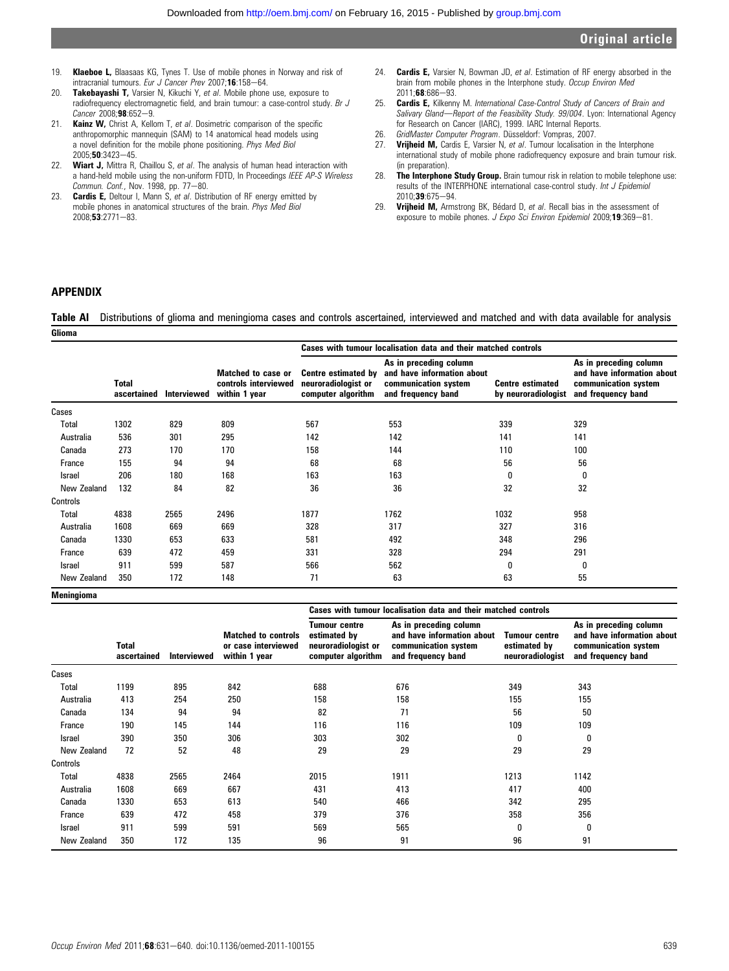- 19. **Klaeboe L,** Blaasaas KG, Tynes T, Use of mobile phones in Norway and risk of intracranial tumours. Eur J Cancer Prev 2007;16:158-64.
- 20. Takebayashi T, Varsier N, Kikuchi Y, et al. Mobile phone use, exposure to radiofrequency electromagnetic field, and brain tumour: a case-control study. Br J  $Cancer\ 2008:98:652-9.$
- 21. Kainz W, Christ A, Kellom T, et al. Dosimetric comparison of the specific anthropomorphic mannequin (SAM) to 14 anatomical head models using a novel definition for the mobile phone positioning. Phys Med Biol 2005;50:3423-45.
- 22. Wiart J, Mittra R, Chaillou S, et al. The analysis of human head interaction with a hand-held mobile using the non-uniform FDTD, In Proceedings IEEE AP-S Wireless Commun. Conf., Nov. 1998, pp. 77-80.
- 23. Cardis E, Deltour I, Mann S, et al. Distribution of RF energy emitted by mobile phones in anatomical structures of the brain. Phys Med Biol  $2008:53:2771-83.$
- 24. **Cardis E.** Varsier N. Bowman JD, et al. Estimation of RF energy absorbed in the brain from mobile phones in the Interphone study. Occup Environ Med 2011;68:686-93.
- 25. Cardis E, Kilkenny M. International Case-Control Study of Cancers of Brain and Salivary Gland-Report of the Feasibility Study. 99/004. Lyon: International Agency for Research on Cancer (IARC), 1999. IARC Internal Reports.
- 26. GridMaster Computer Program. Düsseldorf: Vompras, 2007.<br>27 **Vriiheid M.** Cardis E. Varsier N. et al Tumour localisation
- Vrijheid M, Cardis E, Varsier N, et al. Tumour localisation in the Interphone international study of mobile phone radiofrequency exposure and brain tumour risk. (in preparation).
- 28. The Interphone Study Group. Brain tumour risk in relation to mobile telephone use: results of the INTERPHONE international case-control study. Int J Epidemiol 2010;39:675-94.
- 29. Vrijheid M, Armstrong BK, Bédard D, et al. Recall bias in the assessment of exposure to mobile phones. J Expo Sci Environ Epidemiol 2009:19:369-81.

# APPENDIX

Table AI Distributions of glioma and meningioma cases and controls ascertained, interviewed and matched and with data available for analysis **Glioma** 

|               |                             |             |                                                             |                                                                         | Cases with tumour localisation data and their matched controls                                     |                                                |                                                                                                    |
|---------------|-----------------------------|-------------|-------------------------------------------------------------|-------------------------------------------------------------------------|----------------------------------------------------------------------------------------------------|------------------------------------------------|----------------------------------------------------------------------------------------------------|
|               | <b>Total</b><br>ascertained | Interviewed | Matched to case or<br>controls interviewed<br>within 1 year | <b>Centre estimated by</b><br>neuroradiologist or<br>computer algorithm | As in preceding column<br>and have information about<br>communication system<br>and frequency band | <b>Centre estimated</b><br>by neuroradiologist | As in preceding column<br>and have information about<br>communication system<br>and frequency band |
| Cases         |                             |             |                                                             |                                                                         |                                                                                                    |                                                |                                                                                                    |
| Total         | 1302                        | 829         | 809                                                         | 567                                                                     | 553                                                                                                | 339                                            | 329                                                                                                |
| Australia     | 536                         | 301         | 295                                                         | 142                                                                     | 142                                                                                                | 141                                            | 141                                                                                                |
| Canada        | 273                         | 170         | 170                                                         | 158                                                                     | 144                                                                                                | 110                                            | 100                                                                                                |
| France        | 155                         | 94          | 94                                                          | 68                                                                      | 68                                                                                                 | 56                                             | 56                                                                                                 |
| <b>Israel</b> | 206                         | 180         | 168                                                         | 163                                                                     | 163                                                                                                | 0                                              | 0                                                                                                  |
| New Zealand   | 132                         | 84          | 82                                                          | 36                                                                      | 36                                                                                                 | 32                                             | 32                                                                                                 |
| Controls      |                             |             |                                                             |                                                                         |                                                                                                    |                                                |                                                                                                    |
| <b>Total</b>  | 4838                        | 2565        | 2496                                                        | 1877                                                                    | 1762                                                                                               | 1032                                           | 958                                                                                                |
| Australia     | 1608                        | 669         | 669                                                         | 328                                                                     | 317                                                                                                | 327                                            | 316                                                                                                |
| Canada        | 1330                        | 653         | 633                                                         | 581                                                                     | 492                                                                                                | 348                                            | 296                                                                                                |
| France        | 639                         | 472         | 459                                                         | 331                                                                     | 328                                                                                                | 294                                            | 291                                                                                                |
| <b>Israel</b> | 911                         | 599         | 587                                                         | 566                                                                     | 562                                                                                                | 0                                              | 0                                                                                                  |
| New Zealand   | 350                         | 172         | 148                                                         | 71                                                                      | 63                                                                                                 | 63                                             | 55                                                                                                 |

Meningioma

|               |                             |             |                                                                    |                                                                            | Cases with tumour localisation data and their matched controls                                     |                                                          |                                                                                                    |
|---------------|-----------------------------|-------------|--------------------------------------------------------------------|----------------------------------------------------------------------------|----------------------------------------------------------------------------------------------------|----------------------------------------------------------|----------------------------------------------------------------------------------------------------|
|               | <b>Total</b><br>ascertained | Interviewed | <b>Matched to controls</b><br>or case interviewed<br>within 1 year | Tumour centre<br>estimated by<br>neuroradiologist or<br>computer algorithm | As in preceding column<br>and have information about<br>communication system<br>and frequency band | <b>Tumour centre</b><br>estimated by<br>neuroradiologist | As in preceding column<br>and have information about<br>communication system<br>and frequency band |
| Cases         |                             |             |                                                                    |                                                                            |                                                                                                    |                                                          |                                                                                                    |
| <b>Total</b>  | 1199                        | 895         | 842                                                                | 688                                                                        | 676                                                                                                | 349                                                      | 343                                                                                                |
| Australia     | 413                         | 254         | 250                                                                | 158                                                                        | 158                                                                                                | 155                                                      | 155                                                                                                |
| Canada        | 134                         | 94          | 94                                                                 | 82                                                                         | 71                                                                                                 | 56                                                       | 50                                                                                                 |
| France        | 190                         | 145         | 144                                                                | 116                                                                        | 116                                                                                                | 109                                                      | 109                                                                                                |
| <b>Israel</b> | 390                         | 350         | 306                                                                | 303                                                                        | 302                                                                                                | 0                                                        | 0                                                                                                  |
| New Zealand   | 72                          | 52          | 48                                                                 | 29                                                                         | 29                                                                                                 | 29                                                       | 29                                                                                                 |
| Controls      |                             |             |                                                                    |                                                                            |                                                                                                    |                                                          |                                                                                                    |
| Total         | 4838                        | 2565        | 2464                                                               | 2015                                                                       | 1911                                                                                               | 1213                                                     | 1142                                                                                               |
| Australia     | 1608                        | 669         | 667                                                                | 431                                                                        | 413                                                                                                | 417                                                      | 400                                                                                                |
| Canada        | 1330                        | 653         | 613                                                                | 540                                                                        | 466                                                                                                | 342                                                      | 295                                                                                                |
| France        | 639                         | 472         | 458                                                                | 379                                                                        | 376                                                                                                | 358                                                      | 356                                                                                                |
| Israel        | 911                         | 599         | 591                                                                | 569                                                                        | 565                                                                                                | 0                                                        | 0                                                                                                  |
| New Zealand   | 350                         | 172         | 135                                                                | 96                                                                         | 91                                                                                                 | 96                                                       | 91                                                                                                 |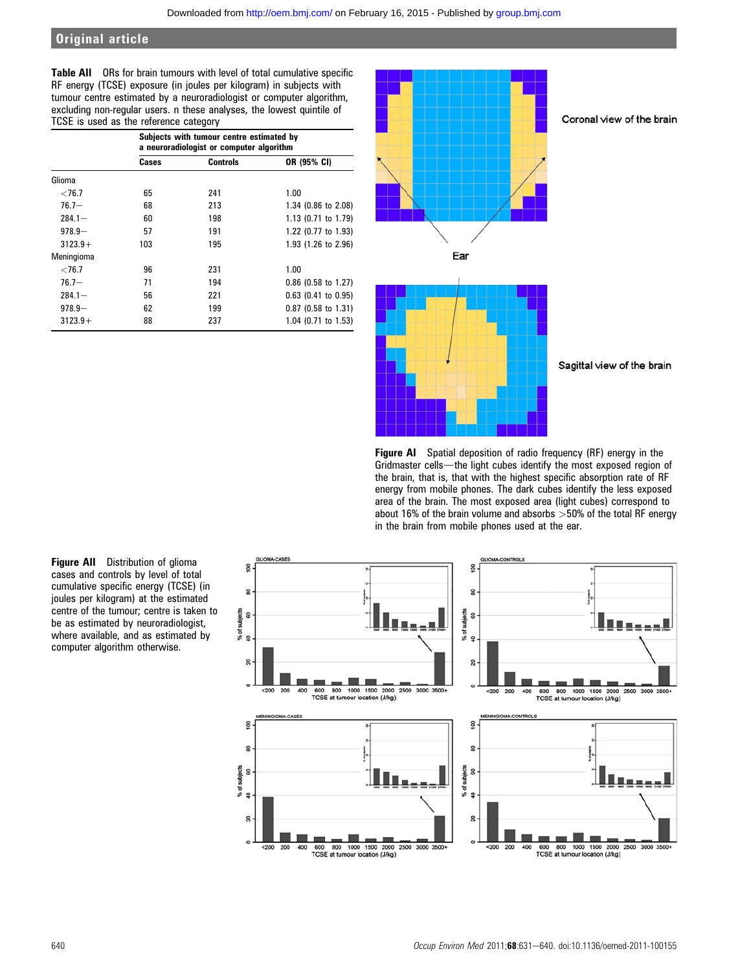Table AII ORs for brain tumours with level of total cumulative specific RF energy (TCSE) exposure (in joules per kilogram) in subjects with tumour centre estimated by a neuroradiologist or computer algorithm, excluding non-regular users. n these analyses, the lowest quintile of TCSE is used as the reference category

|            | Subjects with tumour centre estimated by<br>a neuroradiologist or computer algorithm |                 |                       |  |  |  |  |  |
|------------|--------------------------------------------------------------------------------------|-----------------|-----------------------|--|--|--|--|--|
|            | Cases                                                                                | <b>Controls</b> | OR (95% CI)           |  |  |  |  |  |
| Glioma     |                                                                                      |                 |                       |  |  |  |  |  |
| ${<}76.7$  | 65                                                                                   | 241             | 1.00                  |  |  |  |  |  |
| $76.7 -$   | 68                                                                                   | 213             | 1.34 (0.86 to 2.08)   |  |  |  |  |  |
| $284.1 -$  | 60                                                                                   | 198             | 1.13 (0.71 to 1.79)   |  |  |  |  |  |
| $978.9 -$  | 57                                                                                   | 191             | 1.22 (0.77 to 1.93)   |  |  |  |  |  |
| $3123.9+$  | 103                                                                                  | 195             | 1.93 (1.26 to 2.96)   |  |  |  |  |  |
| Meningioma |                                                                                      |                 |                       |  |  |  |  |  |
| ${<}76.7$  | 96                                                                                   | 231             | 1.00                  |  |  |  |  |  |
| $76.7 -$   | 71                                                                                   | 194             | $0.86$ (0.58 to 1.27) |  |  |  |  |  |
| $284.1 -$  | 56                                                                                   | 221             | $0.63$ (0.41 to 0.95) |  |  |  |  |  |
| $978.9 -$  | 62                                                                                   | 199             | $0.87$ (0.58 to 1.31) |  |  |  |  |  |
| $3123.9+$  | 88                                                                                   | 237             | 1.04 (0.71 to 1.53)   |  |  |  |  |  |



Figure AI Spatial deposition of radio frequency (RF) energy in the Gridmaster cells-the light cubes identify the most exposed region of the brain, that is, that with the highest specific absorption rate of RF energy from mobile phones. The dark cubes identify the less exposed area of the brain. The most exposed area (light cubes) correspond to about 16% of the brain volume and absorbs  $>50%$  of the total RF energy in the brain from mobile phones used at the ear.

Figure AII Distribution of glioma cases and controls by level of total cumulative specific energy (TCSE) (in joules per kilogram) at the estimated centre of the tumour; centre is taken to be as estimated by neuroradiologist, where available, and as estimated by computer algorithm otherwise.